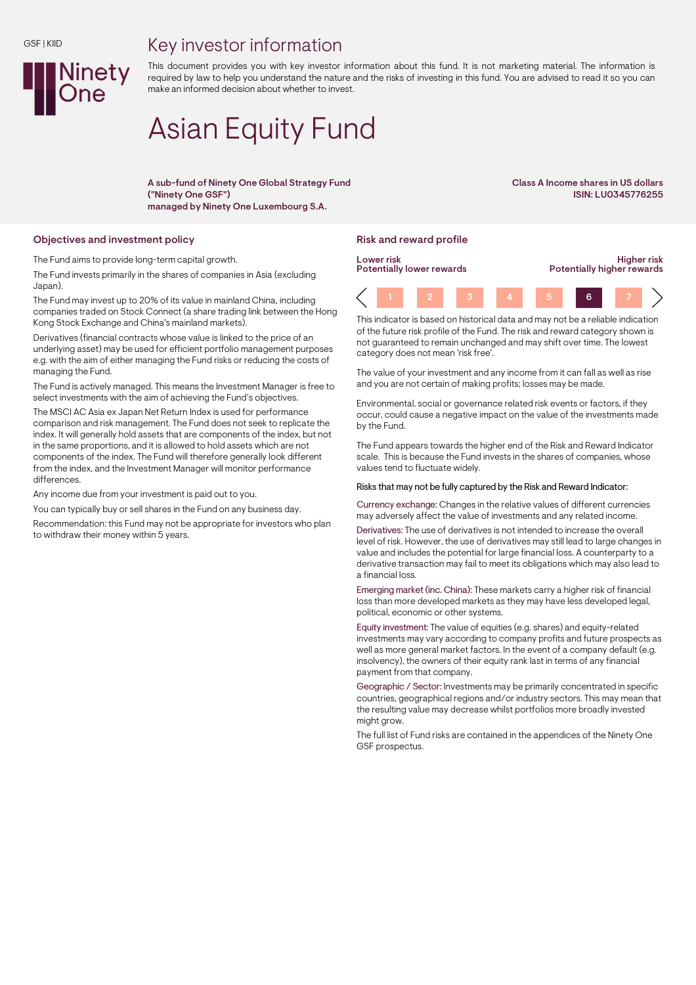## GSF | KIID



Key investor information

This document provides you with key investor information about this fund. It is not marketing material. The information is required by law to help you understand the nature and the risks of investing in this fund. You are advised to read it so you can make an informed decision about whether to invest.

# Asian Equity Fund

A sub-fund of Ninety One Global Strategy Fund ("Ninety One GSF") managed by Ninety One Luxembourg S.A.

Class A Income shares in US dollars ISIN: LU0345776255

## Objectives and investment policy **Risk and reward profile** Risk and reward profile

The Fund aims to provide long-term capital growth.

The Fund invests primarily in the shares of companies in Asia (excluding Japan).

The Fund may invest up to 20% of its value in mainland China, including companies traded on Stock Connect (a share trading link between the Hong Kong Stock Exchange and China's mainland markets).

Derivatives (financial contracts whose value is linked to the price of an underlying asset) may be used for efficient portfolio management purposes e.g. with the aim of either managing the Fund risks or reducing the costs of managing the Fund.

The Fund is actively managed. This means the Investment Manager is free to select investments with the aim of achieving the Fund's objectives.

The MSCI AC Asia ex Japan Net Return Index is used for performance comparison and risk management. The Fund does not seek to replicate the index. It will generally hold assets that are components of the index, but not in the same proportions, and it is allowed to hold assets which are not components of the index. The Fund will therefore generally look different from the index, and the Investment Manager will monitor performance differences.

Any income due from your investment is paid out to you.

You can typically buy or sell shares in the Fund on any business day.

Recommendation: this Fund may not be appropriate for investors who plan to withdraw their money within 5 years.



This indicator is based on historical data and may not be a reliable indication of the future risk profile of the Fund. The risk and reward category shown is not guaranteed to remain unchanged and may shift over time. The lowest category does not mean 'risk free'.

The value of your investment and any income from it can fall as well as rise and you are not certain of making profits; losses may be made.

Environmental, social or governance related risk events or factors, if they occur, could cause a negative impact on the value of the investments made by the Fund.

The Fund appears towards the higher end of the Risk and Reward Indicator scale. This is because the Fund invests in the shares of companies, whose values tend to fluctuate widely.

### Risks that may not be fully captured by the Risk and Reward Indicator:

Currency exchange: Changes in the relative values of different currencies may adversely affect the value of investments and any related income.

Derivatives: The use of derivatives is not intended to increase the overall level of risk. However, the use of derivatives may still lead to large changes in value and includes the potential for large financial loss. A counterparty to a derivative transaction may fail to meet its obligations which may also lead to a financial loss.

Emerging market (inc. China): These markets carry a higher risk of financial loss than more developed markets as they may have less developed legal, political, economic or other systems.

Equity investment: The value of equities (e.g. shares) and equity-related investments may vary according to company profits and future prospects as well as more general market factors. In the event of a company default (e.g. insolvency), the owners of their equity rank last in terms of any financial payment from that company.

Geographic / Sector: Investments may be primarily concentrated in specific countries, geographical regions and/or industry sectors. This may mean that the resulting value may decrease whilst portfolios more broadly invested might grow.

The full list of Fund risks are contained in the appendices of the Ninety One GSF prospectus.